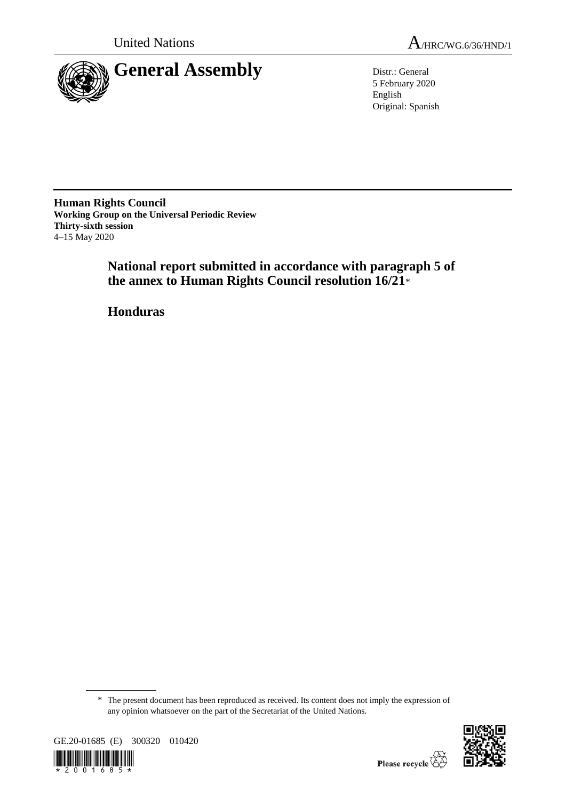

5 February 2020 English Original: Spanish

**Human Rights Council Working Group on the Universal Periodic Review Thirty-sixth session** 4–15 May 2020

> **National report submitted in accordance with paragraph 5 of the annex to Human Rights Council resolution 16/21**\*

**Honduras**

<sup>\*</sup> The present document has been reproduced as received. Its content does not imply the expression of any opinion whatsoever on the part of the Secretariat of the United Nations.



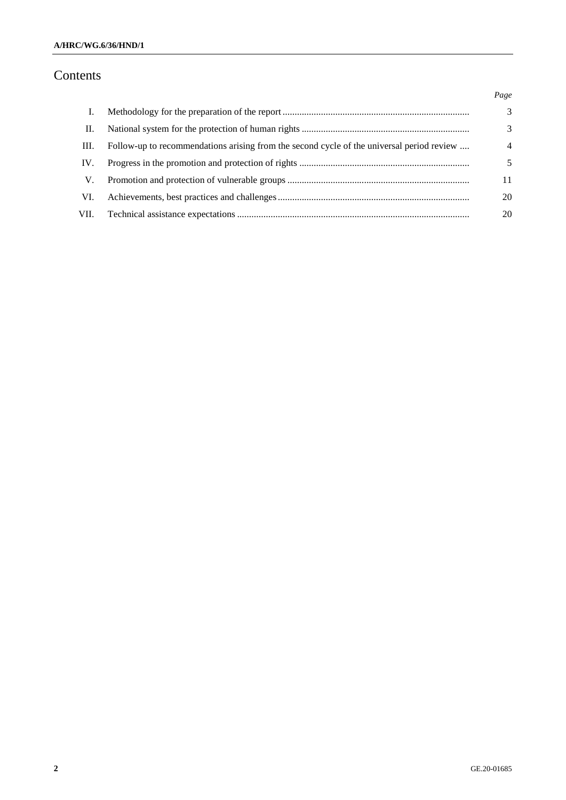# Contents

|      |                                                                                           | Page           |
|------|-------------------------------------------------------------------------------------------|----------------|
| L.   |                                                                                           | 3              |
| П.   |                                                                                           | 3              |
| III. | Follow-up to recommendations arising from the second cycle of the universal period review | $\overline{4}$ |
| IV.  |                                                                                           | 5              |
| V.   |                                                                                           | 11             |
| VI.  |                                                                                           | 20             |
| VII. |                                                                                           | 20             |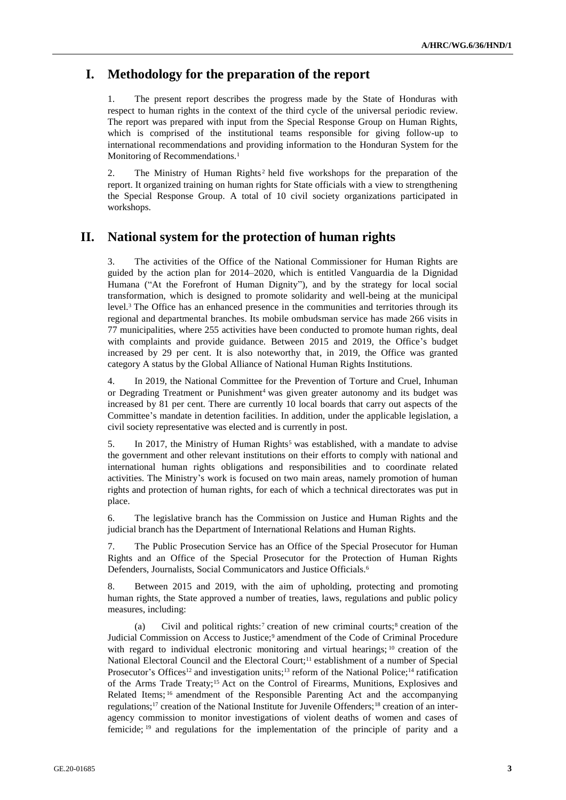# **I. Methodology for the preparation of the report**

1. The present report describes the progress made by the State of Honduras with respect to human rights in the context of the third cycle of the universal periodic review. The report was prepared with input from the Special Response Group on Human Rights, which is comprised of the institutional teams responsible for giving follow-up to international recommendations and providing information to the Honduran System for the Monitoring of Recommendations.<sup>1</sup>

2. The Ministry of Human Rights<sup>2</sup> held five workshops for the preparation of the report. It organized training on human rights for State officials with a view to strengthening the Special Response Group. A total of 10 civil society organizations participated in workshops.

# **II. National system for the protection of human rights**

3. The activities of the Office of the National Commissioner for Human Rights are guided by the action plan for 2014–2020, which is entitled Vanguardia de la Dignidad Humana ("At the Forefront of Human Dignity"), and by the strategy for local social transformation, which is designed to promote solidarity and well-being at the municipal level.<sup>3</sup> The Office has an enhanced presence in the communities and territories through its regional and departmental branches. Its mobile ombudsman service has made 266 visits in 77 municipalities, where 255 activities have been conducted to promote human rights, deal with complaints and provide guidance. Between 2015 and 2019, the Office's budget increased by 29 per cent. It is also noteworthy that, in 2019, the Office was granted category A status by the Global Alliance of National Human Rights Institutions.

4. In 2019, the National Committee for the Prevention of Torture and Cruel, Inhuman or Degrading Treatment or Punishment<sup>4</sup> was given greater autonomy and its budget was increased by 81 per cent. There are currently 10 local boards that carry out aspects of the Committee's mandate in detention facilities. In addition, under the applicable legislation, a civil society representative was elected and is currently in post.

5. In 2017, the Ministry of Human Rights<sup>5</sup> was established, with a mandate to advise the government and other relevant institutions on their efforts to comply with national and international human rights obligations and responsibilities and to coordinate related activities. The Ministry's work is focused on two main areas, namely promotion of human rights and protection of human rights, for each of which a technical directorates was put in place.

6. The legislative branch has the Commission on Justice and Human Rights and the judicial branch has the Department of International Relations and Human Rights.

7. The Public Prosecution Service has an Office of the Special Prosecutor for Human Rights and an Office of the Special Prosecutor for the Protection of Human Rights Defenders, Journalists, Social Communicators and Justice Officials.<sup>6</sup>

8. Between 2015 and 2019, with the aim of upholding, protecting and promoting human rights, the State approved a number of treaties, laws, regulations and public policy measures, including:

(a) Civil and political rights:<sup>7</sup> creation of new criminal courts;<sup>8</sup> creation of the Judicial Commission on Access to Justice;<sup>9</sup> amendment of the Code of Criminal Procedure with regard to individual electronic monitoring and virtual hearings; <sup>10</sup> creation of the National Electoral Council and the Electoral Court;<sup>11</sup> establishment of a number of Special Prosecutor's Offices<sup>12</sup> and investigation units;<sup>13</sup> reform of the National Police;<sup>14</sup> ratification of the Arms Trade Treaty;<sup>15</sup> Act on the Control of Firearms, Munitions, Explosives and Related Items; <sup>16</sup> amendment of the Responsible Parenting Act and the accompanying regulations;<sup>17</sup> creation of the National Institute for Juvenile Offenders;<sup>18</sup> creation of an interagency commission to monitor investigations of violent deaths of women and cases of femicide; <sup>19</sup> and regulations for the implementation of the principle of parity and a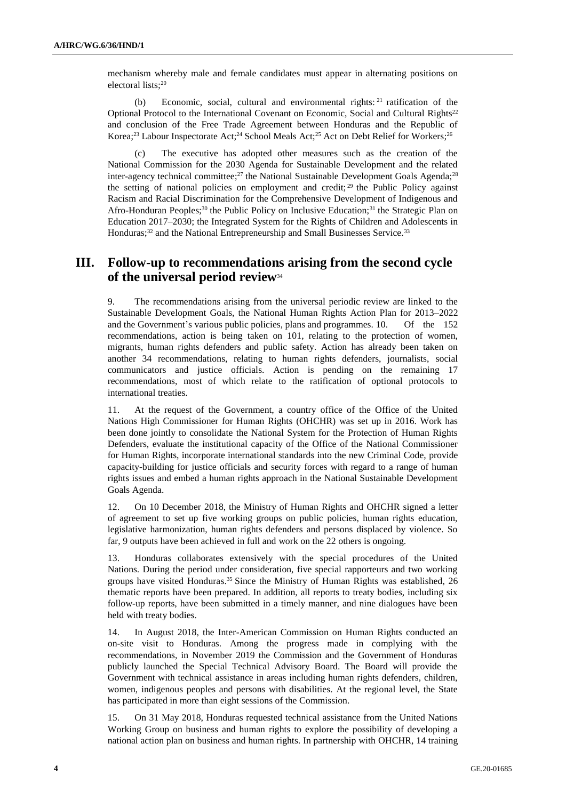mechanism whereby male and female candidates must appear in alternating positions on electoral lists; 20

(b) Economic, social, cultural and environmental rights: <sup>21</sup> ratification of the Optional Protocol to the International Covenant on Economic, Social and Cultural Rights<sup>22</sup> and conclusion of the Free Trade Agreement between Honduras and the Republic of Korea;<sup>23</sup> Labour Inspectorate Act;<sup>24</sup> School Meals Act;<sup>25</sup> Act on Debt Relief for Workers;<sup>26</sup>

(c) The executive has adopted other measures such as the creation of the National Commission for the 2030 Agenda for Sustainable Development and the related inter-agency technical committee;<sup>27</sup> the National Sustainable Development Goals Agenda;<sup>28</sup> the setting of national policies on employment and credit; <sup>29</sup> the Public Policy against Racism and Racial Discrimination for the Comprehensive Development of Indigenous and Afro-Honduran Peoples;<sup>30</sup> the Public Policy on Inclusive Education;<sup>31</sup> the Strategic Plan on Education 2017–2030; the Integrated System for the Rights of Children and Adolescents in Honduras;<sup>32</sup> and the National Entrepreneurship and Small Businesses Service.<sup>33</sup>

### **III. Follow-up to recommendations arising from the second cycle of the universal period review**<sup>34</sup>

9. The recommendations arising from the universal periodic review are linked to the Sustainable Development Goals, the National Human Rights Action Plan for 2013–2022 and the Government's various public policies, plans and programmes. 10. Of the 152 recommendations, action is being taken on 101, relating to the protection of women, migrants, human rights defenders and public safety. Action has already been taken on another 34 recommendations, relating to human rights defenders, journalists, social communicators and justice officials. Action is pending on the remaining 17 recommendations, most of which relate to the ratification of optional protocols to international treaties.

11. At the request of the Government, a country office of the Office of the United Nations High Commissioner for Human Rights (OHCHR) was set up in 2016. Work has been done jointly to consolidate the National System for the Protection of Human Rights Defenders, evaluate the institutional capacity of the Office of the National Commissioner for Human Rights, incorporate international standards into the new Criminal Code, provide capacity-building for justice officials and security forces with regard to a range of human rights issues and embed a human rights approach in the National Sustainable Development Goals Agenda.

12. On 10 December 2018, the Ministry of Human Rights and OHCHR signed a letter of agreement to set up five working groups on public policies, human rights education, legislative harmonization, human rights defenders and persons displaced by violence. So far, 9 outputs have been achieved in full and work on the 22 others is ongoing.

13. Honduras collaborates extensively with the special procedures of the United Nations. During the period under consideration, five special rapporteurs and two working groups have visited Honduras.<sup>35</sup> Since the Ministry of Human Rights was established, 26 thematic reports have been prepared. In addition, all reports to treaty bodies, including six follow-up reports, have been submitted in a timely manner, and nine dialogues have been held with treaty bodies.

14. In August 2018, the Inter-American Commission on Human Rights conducted an on-site visit to Honduras. Among the progress made in complying with the recommendations, in November 2019 the Commission and the Government of Honduras publicly launched the Special Technical Advisory Board. The Board will provide the Government with technical assistance in areas including human rights defenders, children, women, indigenous peoples and persons with disabilities. At the regional level, the State has participated in more than eight sessions of the Commission.

15. On 31 May 2018, Honduras requested technical assistance from the United Nations Working Group on business and human rights to explore the possibility of developing a national action plan on business and human rights. In partnership with OHCHR, 14 training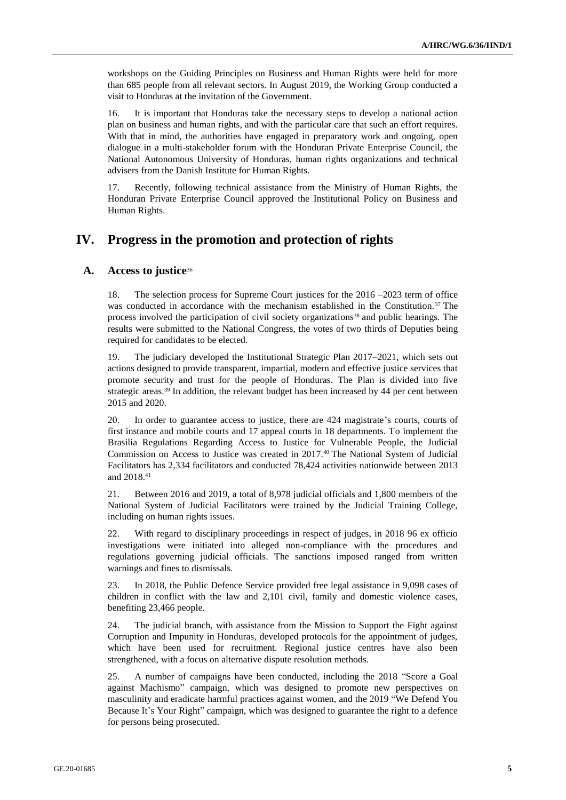workshops on the Guiding Principles on Business and Human Rights were held for more than 685 people from all relevant sectors. In August 2019, the Working Group conducted a visit to Honduras at the invitation of the Government.

16. It is important that Honduras take the necessary steps to develop a national action plan on business and human rights, and with the particular care that such an effort requires. With that in mind, the authorities have engaged in preparatory work and ongoing, open dialogue in a multi-stakeholder forum with the Honduran Private Enterprise Council, the National Autonomous University of Honduras, human rights organizations and technical advisers from the Danish Institute for Human Rights.

17. Recently, following technical assistance from the Ministry of Human Rights, the Honduran Private Enterprise Council approved the Institutional Policy on Business and Human Rights.

### **IV. Progress in the promotion and protection of rights**

#### **A. Access to justice**<sup>36</sup>

18. The selection process for Supreme Court justices for the 2016 –2023 term of office was conducted in accordance with the mechanism established in the Constitution.<sup>37</sup> The process involved the participation of civil society organizations<sup>38</sup> and public hearings. The results were submitted to the National Congress, the votes of two thirds of Deputies being required for candidates to be elected.

19. The judiciary developed the Institutional Strategic Plan 2017–2021, which sets out actions designed to provide transparent, impartial, modern and effective justice services that promote security and trust for the people of Honduras. The Plan is divided into five strategic areas.<sup>39</sup> In addition, the relevant budget has been increased by 44 per cent between 2015 and 2020.

20. In order to guarantee access to justice, there are 424 magistrate's courts, courts of first instance and mobile courts and 17 appeal courts in 18 departments. To implement the Brasilia Regulations Regarding Access to Justice for Vulnerable People, the Judicial Commission on Access to Justice was created in 2017.<sup>40</sup> The National System of Judicial Facilitators has 2,334 facilitators and conducted 78,424 activities nationwide between 2013 and 2018.<sup>41</sup>

21. Between 2016 and 2019, a total of 8,978 judicial officials and 1,800 members of the National System of Judicial Facilitators were trained by the Judicial Training College, including on human rights issues.

22. With regard to disciplinary proceedings in respect of judges, in 2018 96 ex officio investigations were initiated into alleged non-compliance with the procedures and regulations governing judicial officials. The sanctions imposed ranged from written warnings and fines to dismissals.

23. In 2018, the Public Defence Service provided free legal assistance in 9,098 cases of children in conflict with the law and 2,101 civil, family and domestic violence cases, benefiting 23,466 people.

24. The judicial branch, with assistance from the Mission to Support the Fight against Corruption and Impunity in Honduras, developed protocols for the appointment of judges, which have been used for recruitment. Regional justice centres have also been strengthened, with a focus on alternative dispute resolution methods.

25. A number of campaigns have been conducted, including the 2018 "Score a Goal against Machismo" campaign, which was designed to promote new perspectives on masculinity and eradicate harmful practices against women, and the 2019 "We Defend You Because It's Your Right" campaign, which was designed to guarantee the right to a defence for persons being prosecuted.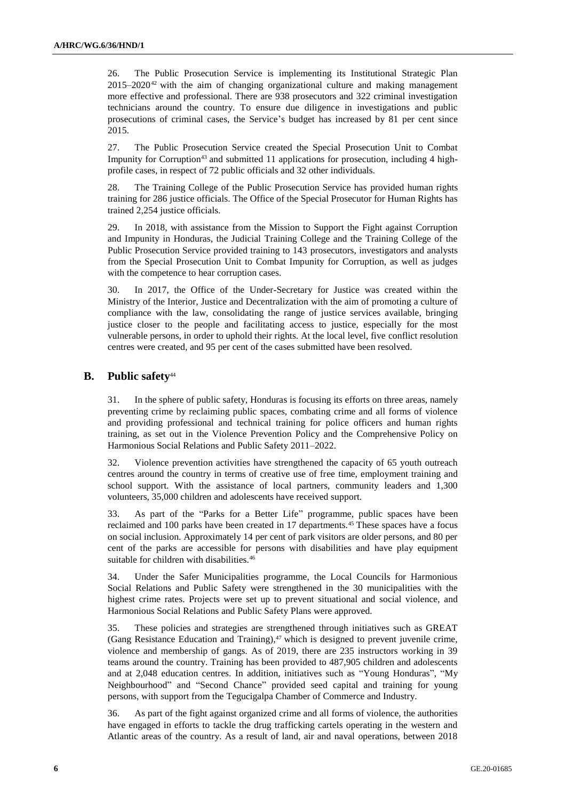26. The Public Prosecution Service is implementing its Institutional Strategic Plan  $2015-2020^{42}$  with the aim of changing organizational culture and making management more effective and professional. There are 938 prosecutors and 322 criminal investigation technicians around the country. To ensure due diligence in investigations and public prosecutions of criminal cases, the Service's budget has increased by 81 per cent since 2015.

27. The Public Prosecution Service created the Special Prosecution Unit to Combat Impunity for Corruption<sup>43</sup> and submitted 11 applications for prosecution, including 4 highprofile cases, in respect of 72 public officials and 32 other individuals.

28. The Training College of the Public Prosecution Service has provided human rights training for 286 justice officials. The Office of the Special Prosecutor for Human Rights has trained 2,254 justice officials.

29. In 2018, with assistance from the Mission to Support the Fight against Corruption and Impunity in Honduras, the Judicial Training College and the Training College of the Public Prosecution Service provided training to 143 prosecutors, investigators and analysts from the Special Prosecution Unit to Combat Impunity for Corruption, as well as judges with the competence to hear corruption cases.

30. In 2017, the Office of the Under-Secretary for Justice was created within the Ministry of the Interior, Justice and Decentralization with the aim of promoting a culture of compliance with the law, consolidating the range of justice services available, bringing justice closer to the people and facilitating access to justice, especially for the most vulnerable persons, in order to uphold their rights. At the local level, five conflict resolution centres were created, and 95 per cent of the cases submitted have been resolved.

### **B. Public safety**<sup>44</sup>

31. In the sphere of public safety, Honduras is focusing its efforts on three areas, namely preventing crime by reclaiming public spaces, combating crime and all forms of violence and providing professional and technical training for police officers and human rights training, as set out in the Violence Prevention Policy and the Comprehensive Policy on Harmonious Social Relations and Public Safety 2011–2022.

32. Violence prevention activities have strengthened the capacity of 65 youth outreach centres around the country in terms of creative use of free time, employment training and school support. With the assistance of local partners, community leaders and 1,300 volunteers, 35,000 children and adolescents have received support.

33. As part of the "Parks for a Better Life" programme, public spaces have been reclaimed and 100 parks have been created in 17 departments.<sup>45</sup> These spaces have a focus on social inclusion. Approximately 14 per cent of park visitors are older persons, and 80 per cent of the parks are accessible for persons with disabilities and have play equipment suitable for children with disabilities.<sup>46</sup>

34. Under the Safer Municipalities programme, the Local Councils for Harmonious Social Relations and Public Safety were strengthened in the 30 municipalities with the highest crime rates. Projects were set up to prevent situational and social violence, and Harmonious Social Relations and Public Safety Plans were approved.

35. These policies and strategies are strengthened through initiatives such as GREAT (Gang Resistance Education and Training),<sup>47</sup> which is designed to prevent juvenile crime, violence and membership of gangs. As of 2019, there are 235 instructors working in 39 teams around the country. Training has been provided to 487,905 children and adolescents and at 2,048 education centres. In addition, initiatives such as "Young Honduras", "My Neighbourhood" and "Second Chance" provided seed capital and training for young persons, with support from the Tegucigalpa Chamber of Commerce and Industry.

36. As part of the fight against organized crime and all forms of violence, the authorities have engaged in efforts to tackle the drug trafficking cartels operating in the western and Atlantic areas of the country. As a result of land, air and naval operations, between 2018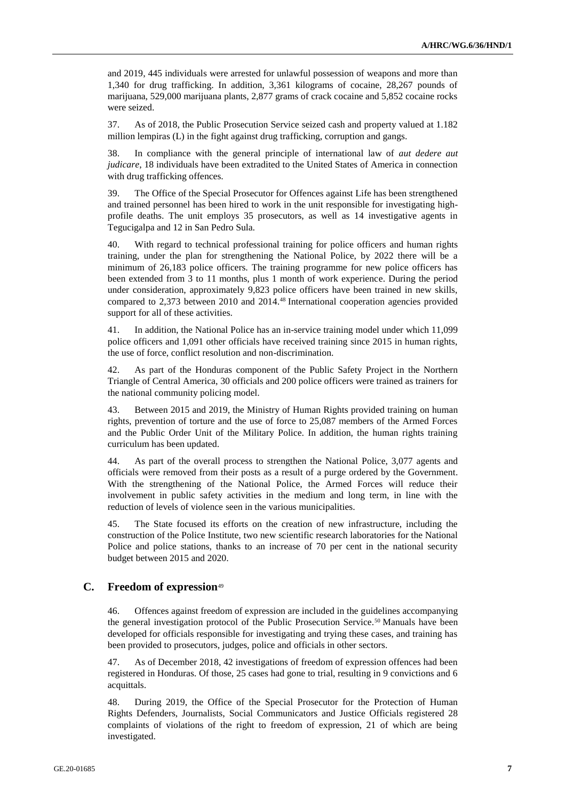and 2019, 445 individuals were arrested for unlawful possession of weapons and more than 1,340 for drug trafficking. In addition, 3,361 kilograms of cocaine, 28,267 pounds of marijuana, 529,000 marijuana plants, 2,877 grams of crack cocaine and 5,852 cocaine rocks were seized.

37. As of 2018, the Public Prosecution Service seized cash and property valued at 1.182 million lempiras (L) in the fight against drug trafficking, corruption and gangs.

38. In compliance with the general principle of international law of *aut dedere aut judicare*, 18 individuals have been extradited to the United States of America in connection with drug trafficking offences.

39. The Office of the Special Prosecutor for Offences against Life has been strengthened and trained personnel has been hired to work in the unit responsible for investigating highprofile deaths. The unit employs 35 prosecutors, as well as 14 investigative agents in Tegucigalpa and 12 in San Pedro Sula.

40. With regard to technical professional training for police officers and human rights training, under the plan for strengthening the National Police, by 2022 there will be a minimum of 26,183 police officers. The training programme for new police officers has been extended from 3 to 11 months, plus 1 month of work experience. During the period under consideration, approximately 9,823 police officers have been trained in new skills, compared to 2,373 between 2010 and 2014.<sup>48</sup> International cooperation agencies provided support for all of these activities.

41. In addition, the National Police has an in-service training model under which 11,099 police officers and 1,091 other officials have received training since 2015 in human rights, the use of force, conflict resolution and non-discrimination.

42. As part of the Honduras component of the Public Safety Project in the Northern Triangle of Central America, 30 officials and 200 police officers were trained as trainers for the national community policing model.

43. Between 2015 and 2019, the Ministry of Human Rights provided training on human rights, prevention of torture and the use of force to 25,087 members of the Armed Forces and the Public Order Unit of the Military Police. In addition, the human rights training curriculum has been updated.

44. As part of the overall process to strengthen the National Police, 3,077 agents and officials were removed from their posts as a result of a purge ordered by the Government. With the strengthening of the National Police, the Armed Forces will reduce their involvement in public safety activities in the medium and long term, in line with the reduction of levels of violence seen in the various municipalities.

45. The State focused its efforts on the creation of new infrastructure, including the construction of the Police Institute, two new scientific research laboratories for the National Police and police stations, thanks to an increase of 70 per cent in the national security budget between 2015 and 2020.

#### **C. Freedom of expression**<sup>49</sup>

46. Offences against freedom of expression are included in the guidelines accompanying the general investigation protocol of the Public Prosecution Service.<sup>50</sup> Manuals have been developed for officials responsible for investigating and trying these cases, and training has been provided to prosecutors, judges, police and officials in other sectors.

47. As of December 2018, 42 investigations of freedom of expression offences had been registered in Honduras. Of those, 25 cases had gone to trial, resulting in 9 convictions and 6 acquittals.

48. During 2019, the Office of the Special Prosecutor for the Protection of Human Rights Defenders, Journalists, Social Communicators and Justice Officials registered 28 complaints of violations of the right to freedom of expression, 21 of which are being investigated.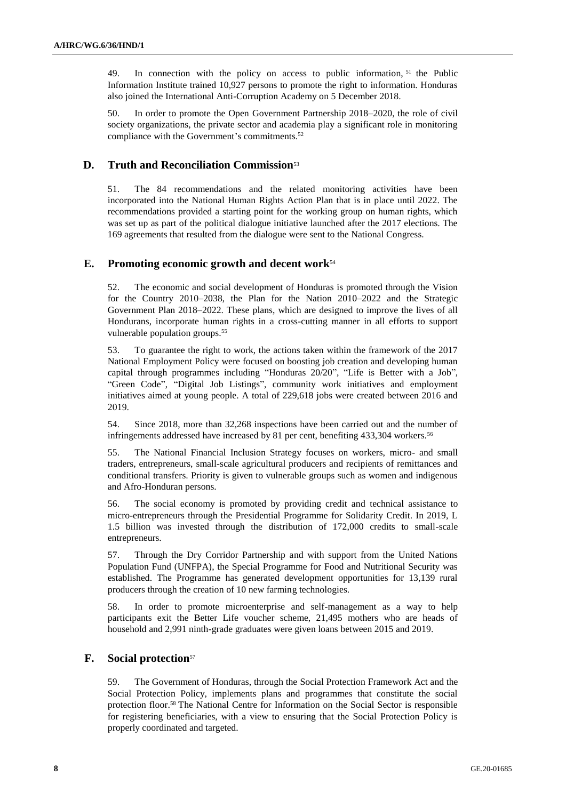49. In connection with the policy on access to public information, <sup>51</sup> the Public Information Institute trained 10,927 persons to promote the right to information. Honduras also joined the International Anti-Corruption Academy on 5 December 2018.

50. In order to promote the Open Government Partnership 2018–2020, the role of civil society organizations, the private sector and academia play a significant role in monitoring compliance with the Government's commitments.<sup>52</sup>

### **D. Truth and Reconciliation Commission**<sup>53</sup>

51. The 84 recommendations and the related monitoring activities have been incorporated into the National Human Rights Action Plan that is in place until 2022. The recommendations provided a starting point for the working group on human rights, which was set up as part of the political dialogue initiative launched after the 2017 elections. The 169 agreements that resulted from the dialogue were sent to the National Congress.

### **E. Promoting economic growth and decent work**<sup>54</sup>

52. The economic and social development of Honduras is promoted through the Vision for the Country 2010–2038, the Plan for the Nation 2010–2022 and the Strategic Government Plan 2018–2022. These plans, which are designed to improve the lives of all Hondurans, incorporate human rights in a cross-cutting manner in all efforts to support vulnerable population groups.<sup>55</sup>

53. To guarantee the right to work, the actions taken within the framework of the 2017 National Employment Policy were focused on boosting job creation and developing human capital through programmes including "Honduras 20/20", "Life is Better with a Job", "Green Code", "Digital Job Listings", community work initiatives and employment initiatives aimed at young people. A total of 229,618 jobs were created between 2016 and 2019.

54. Since 2018, more than 32,268 inspections have been carried out and the number of infringements addressed have increased by 81 per cent, benefiting 433,304 workers.<sup>56</sup>

55. The National Financial Inclusion Strategy focuses on workers, micro- and small traders, entrepreneurs, small-scale agricultural producers and recipients of remittances and conditional transfers. Priority is given to vulnerable groups such as women and indigenous and Afro-Honduran persons.

56. The social economy is promoted by providing credit and technical assistance to micro-entrepreneurs through the Presidential Programme for Solidarity Credit. In 2019, L 1.5 billion was invested through the distribution of 172,000 credits to small-scale entrepreneurs.

57. Through the Dry Corridor Partnership and with support from the United Nations Population Fund (UNFPA), the Special Programme for Food and Nutritional Security was established. The Programme has generated development opportunities for 13,139 rural producers through the creation of 10 new farming technologies.

58. In order to promote microenterprise and self-management as a way to help participants exit the Better Life voucher scheme, 21,495 mothers who are heads of household and 2,991 ninth-grade graduates were given loans between 2015 and 2019.

### **F. Social protection**<sup>57</sup>

59. The Government of Honduras, through the Social Protection Framework Act and the Social Protection Policy, implements plans and programmes that constitute the social protection floor.<sup>58</sup> The National Centre for Information on the Social Sector is responsible for registering beneficiaries, with a view to ensuring that the Social Protection Policy is properly coordinated and targeted.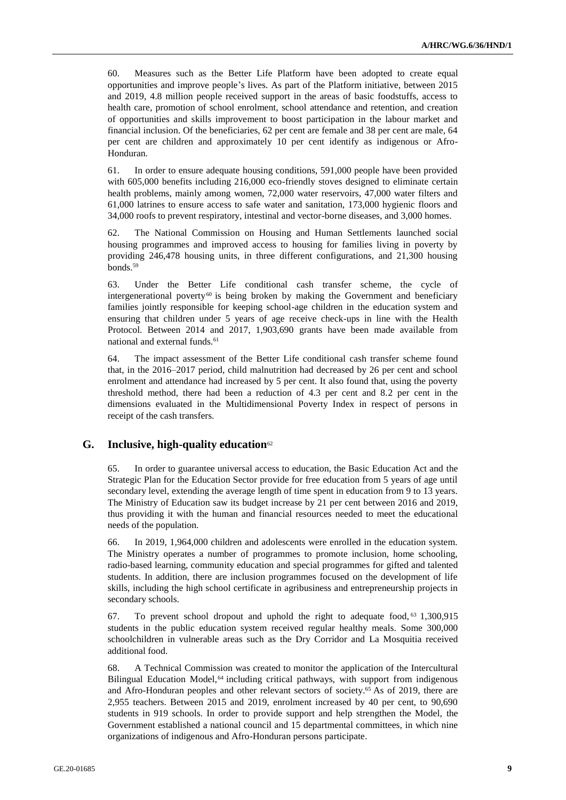60. Measures such as the Better Life Platform have been adopted to create equal opportunities and improve people's lives. As part of the Platform initiative, between 2015 and 2019, 4.8 million people received support in the areas of basic foodstuffs, access to health care, promotion of school enrolment, school attendance and retention, and creation of opportunities and skills improvement to boost participation in the labour market and financial inclusion. Of the beneficiaries, 62 per cent are female and 38 per cent are male, 64 per cent are children and approximately 10 per cent identify as indigenous or Afro-Honduran.

61. In order to ensure adequate housing conditions, 591,000 people have been provided with 605,000 benefits including 216,000 eco-friendly stoves designed to eliminate certain health problems, mainly among women, 72,000 water reservoirs, 47,000 water filters and 61,000 latrines to ensure access to safe water and sanitation, 173,000 hygienic floors and 34,000 roofs to prevent respiratory, intestinal and vector-borne diseases, and 3,000 homes.

62. The National Commission on Housing and Human Settlements launched social housing programmes and improved access to housing for families living in poverty by providing 246,478 housing units, in three different configurations, and 21,300 housing bonds.<sup>59</sup>

63. Under the Better Life conditional cash transfer scheme, the cycle of intergenerational poverty<sup>60</sup> is being broken by making the Government and beneficiary families jointly responsible for keeping school-age children in the education system and ensuring that children under 5 years of age receive check-ups in line with the Health Protocol. Between 2014 and 2017, 1,903,690 grants have been made available from national and external funds.<sup>61</sup>

64. The impact assessment of the Better Life conditional cash transfer scheme found that, in the 2016–2017 period, child malnutrition had decreased by 26 per cent and school enrolment and attendance had increased by 5 per cent. It also found that, using the poverty threshold method, there had been a reduction of 4.3 per cent and 8.2 per cent in the dimensions evaluated in the Multidimensional Poverty Index in respect of persons in receipt of the cash transfers.

#### **G. Inclusive, high-quality education**<sup>62</sup>

65. In order to guarantee universal access to education, the Basic Education Act and the Strategic Plan for the Education Sector provide for free education from 5 years of age until secondary level, extending the average length of time spent in education from 9 to 13 years. The Ministry of Education saw its budget increase by 21 per cent between 2016 and 2019, thus providing it with the human and financial resources needed to meet the educational needs of the population.

66. In 2019, 1,964,000 children and adolescents were enrolled in the education system. The Ministry operates a number of programmes to promote inclusion, home schooling, radio-based learning, community education and special programmes for gifted and talented students. In addition, there are inclusion programmes focused on the development of life skills, including the high school certificate in agribusiness and entrepreneurship projects in secondary schools.

67. To prevent school dropout and uphold the right to adequate food, <sup>63</sup> 1,300,915 students in the public education system received regular healthy meals. Some 300,000 schoolchildren in vulnerable areas such as the Dry Corridor and La Mosquitia received additional food.

68. A Technical Commission was created to monitor the application of the Intercultural Bilingual Education Model,<sup>64</sup> including critical pathways, with support from indigenous and Afro-Honduran peoples and other relevant sectors of society. <sup>65</sup> As of 2019, there are 2,955 teachers. Between 2015 and 2019, enrolment increased by 40 per cent, to 90,690 students in 919 schools. In order to provide support and help strengthen the Model, the Government established a national council and 15 departmental committees, in which nine organizations of indigenous and Afro-Honduran persons participate.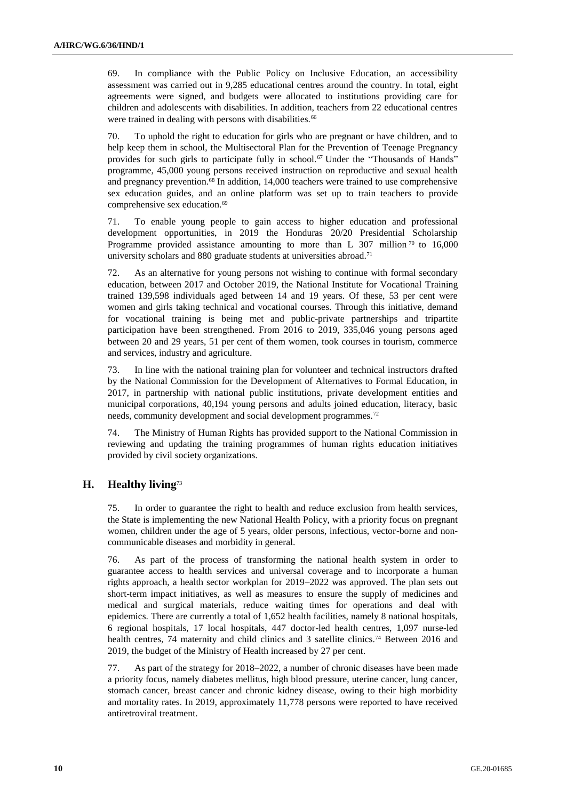69. In compliance with the Public Policy on Inclusive Education, an accessibility assessment was carried out in 9,285 educational centres around the country. In total, eight agreements were signed, and budgets were allocated to institutions providing care for children and adolescents with disabilities. In addition, teachers from 22 educational centres were trained in dealing with persons with disabilities.<sup>66</sup>

70. To uphold the right to education for girls who are pregnant or have children, and to help keep them in school, the Multisectoral Plan for the Prevention of Teenage Pregnancy provides for such girls to participate fully in school.<sup>67</sup> Under the "Thousands of Hands" programme, 45,000 young persons received instruction on reproductive and sexual health and pregnancy prevention.<sup>68</sup> In addition, 14,000 teachers were trained to use comprehensive sex education guides, and an online platform was set up to train teachers to provide comprehensive sex education.<sup>69</sup>

71. To enable young people to gain access to higher education and professional development opportunities, in 2019 the Honduras 20/20 Presidential Scholarship Programme provided assistance amounting to more than L 307 million  $70$  to 16,000 university scholars and 880 graduate students at universities abroad.<sup>71</sup>

72. As an alternative for young persons not wishing to continue with formal secondary education, between 2017 and October 2019, the National Institute for Vocational Training trained 139,598 individuals aged between 14 and 19 years. Of these, 53 per cent were women and girls taking technical and vocational courses. Through this initiative, demand for vocational training is being met and public-private partnerships and tripartite participation have been strengthened. From 2016 to 2019, 335,046 young persons aged between 20 and 29 years, 51 per cent of them women, took courses in tourism, commerce and services, industry and agriculture.

73. In line with the national training plan for volunteer and technical instructors drafted by the National Commission for the Development of Alternatives to Formal Education, in 2017, in partnership with national public institutions, private development entities and municipal corporations, 40,194 young persons and adults joined education, literacy, basic needs, community development and social development programmes.<sup>72</sup>

74. The Ministry of Human Rights has provided support to the National Commission in reviewing and updating the training programmes of human rights education initiatives provided by civil society organizations.

### **H. Healthy living**<sup>73</sup>

75. In order to guarantee the right to health and reduce exclusion from health services, the State is implementing the new National Health Policy, with a priority focus on pregnant women, children under the age of 5 years, older persons, infectious, vector-borne and noncommunicable diseases and morbidity in general.

76. As part of the process of transforming the national health system in order to guarantee access to health services and universal coverage and to incorporate a human rights approach, a health sector workplan for 2019–2022 was approved. The plan sets out short-term impact initiatives, as well as measures to ensure the supply of medicines and medical and surgical materials, reduce waiting times for operations and deal with epidemics. There are currently a total of 1,652 health facilities, namely 8 national hospitals, 6 regional hospitals, 17 local hospitals, 447 doctor-led health centres, 1,097 nurse-led health centres, 74 maternity and child clinics and 3 satellite clinics.<sup>74</sup> Between 2016 and 2019, the budget of the Ministry of Health increased by 27 per cent.

77. As part of the strategy for 2018–2022, a number of chronic diseases have been made a priority focus, namely diabetes mellitus, high blood pressure, uterine cancer, lung cancer, stomach cancer, breast cancer and chronic kidney disease, owing to their high morbidity and mortality rates. In 2019, approximately 11,778 persons were reported to have received antiretroviral treatment.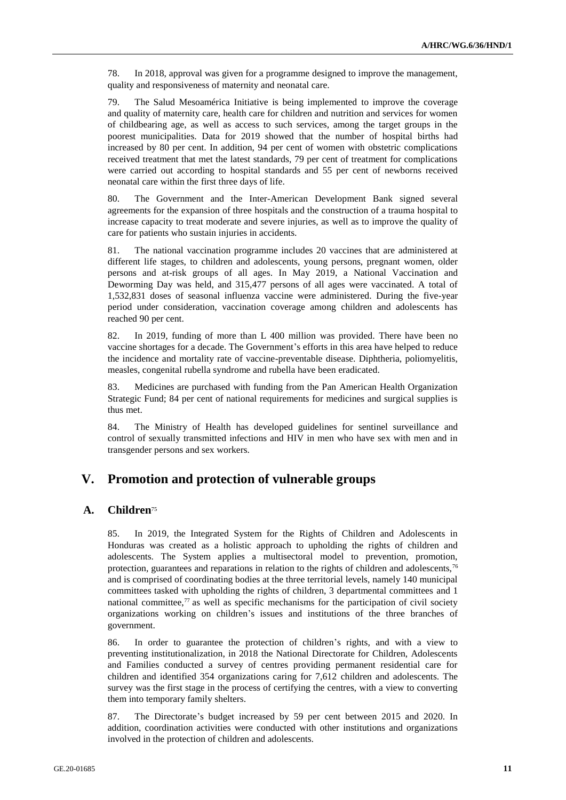78. In 2018, approval was given for a programme designed to improve the management, quality and responsiveness of maternity and neonatal care.

79. The Salud Mesoamérica Initiative is being implemented to improve the coverage and quality of maternity care, health care for children and nutrition and services for women of childbearing age, as well as access to such services, among the target groups in the poorest municipalities. Data for 2019 showed that the number of hospital births had increased by 80 per cent. In addition, 94 per cent of women with obstetric complications received treatment that met the latest standards, 79 per cent of treatment for complications were carried out according to hospital standards and 55 per cent of newborns received neonatal care within the first three days of life.

80. The Government and the Inter-American Development Bank signed several agreements for the expansion of three hospitals and the construction of a trauma hospital to increase capacity to treat moderate and severe injuries, as well as to improve the quality of care for patients who sustain injuries in accidents.

81. The national vaccination programme includes 20 vaccines that are administered at different life stages, to children and adolescents, young persons, pregnant women, older persons and at-risk groups of all ages. In May 2019, a National Vaccination and Deworming Day was held, and 315,477 persons of all ages were vaccinated. A total of 1,532,831 doses of seasonal influenza vaccine were administered. During the five-year period under consideration, vaccination coverage among children and adolescents has reached 90 per cent.

82. In 2019, funding of more than L 400 million was provided. There have been no vaccine shortages for a decade. The Government's efforts in this area have helped to reduce the incidence and mortality rate of vaccine-preventable disease. Diphtheria, poliomyelitis, measles, congenital rubella syndrome and rubella have been eradicated.

83. Medicines are purchased with funding from the Pan American Health Organization Strategic Fund; 84 per cent of national requirements for medicines and surgical supplies is thus met.

84. The Ministry of Health has developed guidelines for sentinel surveillance and control of sexually transmitted infections and HIV in men who have sex with men and in transgender persons and sex workers.

# **V. Promotion and protection of vulnerable groups**

### **A. Children**<sup>75</sup>

85. In 2019, the Integrated System for the Rights of Children and Adolescents in Honduras was created as a holistic approach to upholding the rights of children and adolescents. The System applies a multisectoral model to prevention, promotion, protection, guarantees and reparations in relation to the rights of children and adolescents,<sup>76</sup> and is comprised of coordinating bodies at the three territorial levels, namely 140 municipal committees tasked with upholding the rights of children, 3 departmental committees and 1 national committee,<sup> $7\text{ }$ </sup> as well as specific mechanisms for the participation of civil society organizations working on children's issues and institutions of the three branches of government.

86. In order to guarantee the protection of children's rights, and with a view to preventing institutionalization, in 2018 the National Directorate for Children, Adolescents and Families conducted a survey of centres providing permanent residential care for children and identified 354 organizations caring for 7,612 children and adolescents. The survey was the first stage in the process of certifying the centres, with a view to converting them into temporary family shelters.

87. The Directorate's budget increased by 59 per cent between 2015 and 2020. In addition, coordination activities were conducted with other institutions and organizations involved in the protection of children and adolescents.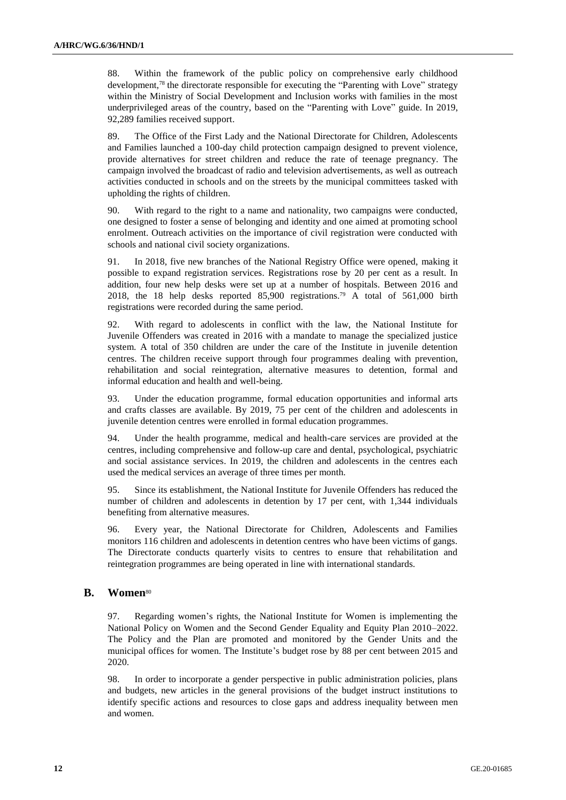88. Within the framework of the public policy on comprehensive early childhood development,<sup>78</sup> the directorate responsible for executing the "Parenting with Love" strategy within the Ministry of Social Development and Inclusion works with families in the most underprivileged areas of the country, based on the "Parenting with Love" guide. In 2019, 92,289 families received support.

89. The Office of the First Lady and the National Directorate for Children, Adolescents and Families launched a 100-day child protection campaign designed to prevent violence, provide alternatives for street children and reduce the rate of teenage pregnancy. The campaign involved the broadcast of radio and television advertisements, as well as outreach activities conducted in schools and on the streets by the municipal committees tasked with upholding the rights of children.

90. With regard to the right to a name and nationality, two campaigns were conducted, one designed to foster a sense of belonging and identity and one aimed at promoting school enrolment. Outreach activities on the importance of civil registration were conducted with schools and national civil society organizations.

91. In 2018, five new branches of the National Registry Office were opened, making it possible to expand registration services. Registrations rose by 20 per cent as a result. In addition, four new help desks were set up at a number of hospitals. Between 2016 and 2018, the 18 help desks reported 85,900 registrations.<sup>79</sup> A total of 561,000 birth registrations were recorded during the same period.

92. With regard to adolescents in conflict with the law, the National Institute for Juvenile Offenders was created in 2016 with a mandate to manage the specialized justice system. A total of 350 children are under the care of the Institute in juvenile detention centres. The children receive support through four programmes dealing with prevention, rehabilitation and social reintegration, alternative measures to detention, formal and informal education and health and well-being.

93. Under the education programme, formal education opportunities and informal arts and crafts classes are available. By 2019, 75 per cent of the children and adolescents in juvenile detention centres were enrolled in formal education programmes.

94. Under the health programme, medical and health-care services are provided at the centres, including comprehensive and follow-up care and dental, psychological, psychiatric and social assistance services. In 2019, the children and adolescents in the centres each used the medical services an average of three times per month.

95. Since its establishment, the National Institute for Juvenile Offenders has reduced the number of children and adolescents in detention by 17 per cent, with 1,344 individuals benefiting from alternative measures.

96. Every year, the National Directorate for Children, Adolescents and Families monitors 116 children and adolescents in detention centres who have been victims of gangs. The Directorate conducts quarterly visits to centres to ensure that rehabilitation and reintegration programmes are being operated in line with international standards.

#### **B. Women**<sup>80</sup>

97. Regarding women's rights, the National Institute for Women is implementing the National Policy on Women and the Second Gender Equality and Equity Plan 2010–2022. The Policy and the Plan are promoted and monitored by the Gender Units and the municipal offices for women. The Institute's budget rose by 88 per cent between 2015 and 2020.

98. In order to incorporate a gender perspective in public administration policies, plans and budgets, new articles in the general provisions of the budget instruct institutions to identify specific actions and resources to close gaps and address inequality between men and women.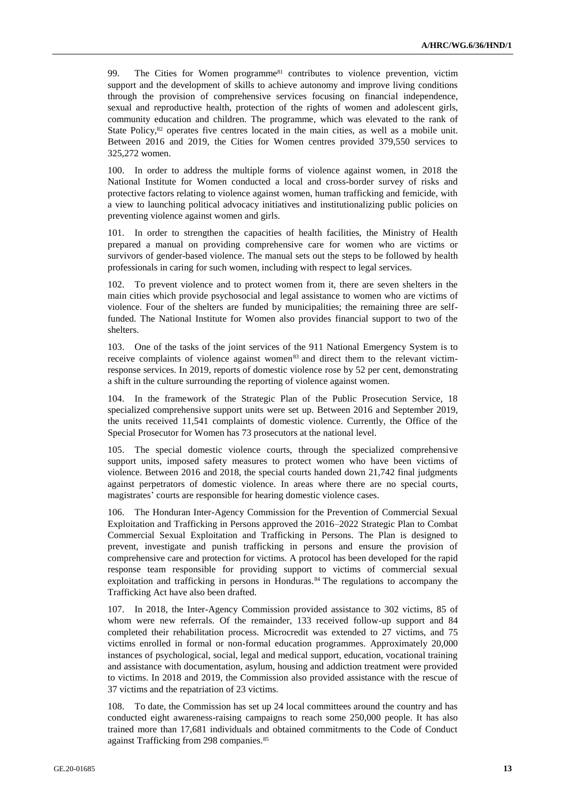99. The Cities for Women programme<sup>81</sup> contributes to violence prevention, victim support and the development of skills to achieve autonomy and improve living conditions through the provision of comprehensive services focusing on financial independence, sexual and reproductive health, protection of the rights of women and adolescent girls, community education and children. The programme, which was elevated to the rank of State Policy,<sup>82</sup> operates five centres located in the main cities, as well as a mobile unit. Between 2016 and 2019, the Cities for Women centres provided 379,550 services to 325,272 women.

100. In order to address the multiple forms of violence against women, in 2018 the National Institute for Women conducted a local and cross-border survey of risks and protective factors relating to violence against women, human trafficking and femicide, with a view to launching political advocacy initiatives and institutionalizing public policies on preventing violence against women and girls.

101. In order to strengthen the capacities of health facilities, the Ministry of Health prepared a manual on providing comprehensive care for women who are victims or survivors of gender-based violence. The manual sets out the steps to be followed by health professionals in caring for such women, including with respect to legal services.

102. To prevent violence and to protect women from it, there are seven shelters in the main cities which provide psychosocial and legal assistance to women who are victims of violence. Four of the shelters are funded by municipalities; the remaining three are selffunded. The National Institute for Women also provides financial support to two of the shelters.

103. One of the tasks of the joint services of the 911 National Emergency System is to receive complaints of violence against women<sup>83</sup> and direct them to the relevant victimresponse services. In 2019, reports of domestic violence rose by 52 per cent, demonstrating a shift in the culture surrounding the reporting of violence against women.

104. In the framework of the Strategic Plan of the Public Prosecution Service, 18 specialized comprehensive support units were set up. Between 2016 and September 2019, the units received 11,541 complaints of domestic violence. Currently, the Office of the Special Prosecutor for Women has 73 prosecutors at the national level.

105. The special domestic violence courts, through the specialized comprehensive support units, imposed safety measures to protect women who have been victims of violence. Between 2016 and 2018, the special courts handed down 21,742 final judgments against perpetrators of domestic violence. In areas where there are no special courts, magistrates' courts are responsible for hearing domestic violence cases.

106. The Honduran Inter-Agency Commission for the Prevention of Commercial Sexual Exploitation and Trafficking in Persons approved the 2016–2022 Strategic Plan to Combat Commercial Sexual Exploitation and Trafficking in Persons. The Plan is designed to prevent, investigate and punish trafficking in persons and ensure the provision of comprehensive care and protection for victims. A protocol has been developed for the rapid response team responsible for providing support to victims of commercial sexual exploitation and trafficking in persons in Honduras.<sup>84</sup> The regulations to accompany the Trafficking Act have also been drafted.

107. In 2018, the Inter-Agency Commission provided assistance to 302 victims, 85 of whom were new referrals. Of the remainder, 133 received follow-up support and 84 completed their rehabilitation process. Microcredit was extended to 27 victims, and 75 victims enrolled in formal or non-formal education programmes. Approximately 20,000 instances of psychological, social, legal and medical support, education, vocational training and assistance with documentation, asylum, housing and addiction treatment were provided to victims. In 2018 and 2019, the Commission also provided assistance with the rescue of 37 victims and the repatriation of 23 victims.

108. To date, the Commission has set up 24 local committees around the country and has conducted eight awareness-raising campaigns to reach some 250,000 people. It has also trained more than 17,681 individuals and obtained commitments to the Code of Conduct against Trafficking from 298 companies.85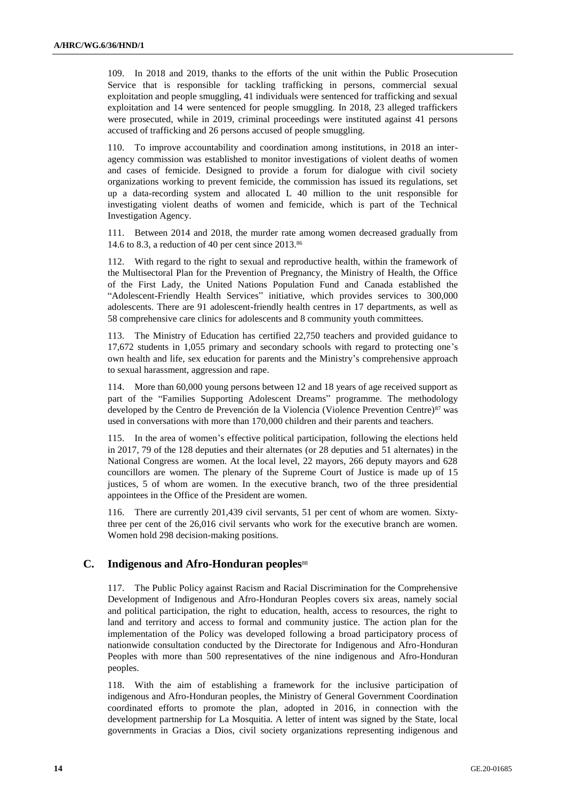109. In 2018 and 2019, thanks to the efforts of the unit within the Public Prosecution Service that is responsible for tackling trafficking in persons, commercial sexual exploitation and people smuggling, 41 individuals were sentenced for trafficking and sexual exploitation and 14 were sentenced for people smuggling. In 2018, 23 alleged traffickers were prosecuted, while in 2019, criminal proceedings were instituted against 41 persons accused of trafficking and 26 persons accused of people smuggling.

110. To improve accountability and coordination among institutions, in 2018 an interagency commission was established to monitor investigations of violent deaths of women and cases of femicide. Designed to provide a forum for dialogue with civil society organizations working to prevent femicide, the commission has issued its regulations, set up a data-recording system and allocated L 40 million to the unit responsible for investigating violent deaths of women and femicide, which is part of the Technical Investigation Agency.

111. Between 2014 and 2018, the murder rate among women decreased gradually from 14.6 to 8.3, a reduction of 40 per cent since 2013.<sup>86</sup>

112. With regard to the right to sexual and reproductive health, within the framework of the Multisectoral Plan for the Prevention of Pregnancy, the Ministry of Health, the Office of the First Lady, the United Nations Population Fund and Canada established the "Adolescent-Friendly Health Services" initiative, which provides services to 300,000 adolescents. There are 91 adolescent-friendly health centres in 17 departments, as well as 58 comprehensive care clinics for adolescents and 8 community youth committees.

113. The Ministry of Education has certified 22,750 teachers and provided guidance to 17,672 students in 1,055 primary and secondary schools with regard to protecting one's own health and life, sex education for parents and the Ministry's comprehensive approach to sexual harassment, aggression and rape.

114. More than 60,000 young persons between 12 and 18 years of age received support as part of the "Families Supporting Adolescent Dreams" programme. The methodology developed by the Centro de Prevención de la Violencia (Violence Prevention Centre)<sup>87</sup> was used in conversations with more than 170,000 children and their parents and teachers.

115. In the area of women's effective political participation, following the elections held in 2017, 79 of the 128 deputies and their alternates (or 28 deputies and 51 alternates) in the National Congress are women. At the local level, 22 mayors, 266 deputy mayors and 628 councillors are women. The plenary of the Supreme Court of Justice is made up of 15 justices, 5 of whom are women. In the executive branch, two of the three presidential appointees in the Office of the President are women.

116. There are currently 201,439 civil servants, 51 per cent of whom are women. Sixtythree per cent of the 26,016 civil servants who work for the executive branch are women. Women hold 298 decision-making positions.

### **C. Indigenous and Afro-Honduran peoples**<sup>88</sup>

117. The Public Policy against Racism and Racial Discrimination for the Comprehensive Development of Indigenous and Afro-Honduran Peoples covers six areas, namely social and political participation, the right to education, health, access to resources, the right to land and territory and access to formal and community justice. The action plan for the implementation of the Policy was developed following a broad participatory process of nationwide consultation conducted by the Directorate for Indigenous and Afro-Honduran Peoples with more than 500 representatives of the nine indigenous and Afro-Honduran peoples.

118. With the aim of establishing a framework for the inclusive participation of indigenous and Afro-Honduran peoples, the Ministry of General Government Coordination coordinated efforts to promote the plan, adopted in 2016, in connection with the development partnership for La Mosquitia. A letter of intent was signed by the State, local governments in Gracias a Dios, civil society organizations representing indigenous and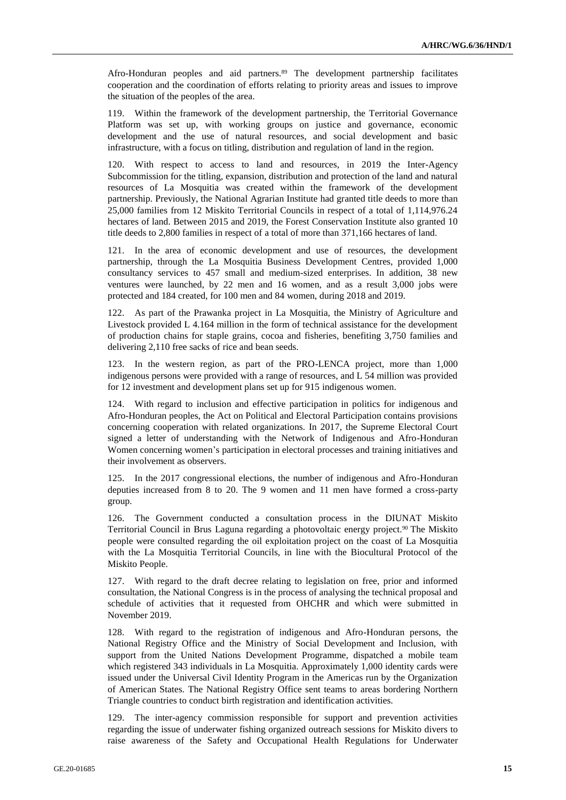Afro-Honduran peoples and aid partners.<sup>89</sup> The development partnership facilitates cooperation and the coordination of efforts relating to priority areas and issues to improve the situation of the peoples of the area.

119. Within the framework of the development partnership, the Territorial Governance Platform was set up, with working groups on justice and governance, economic development and the use of natural resources, and social development and basic infrastructure, with a focus on titling, distribution and regulation of land in the region.

120. With respect to access to land and resources, in 2019 the Inter-Agency Subcommission for the titling, expansion, distribution and protection of the land and natural resources of La Mosquitia was created within the framework of the development partnership. Previously, the National Agrarian Institute had granted title deeds to more than 25,000 families from 12 Miskito Territorial Councils in respect of a total of 1,114,976.24 hectares of land. Between 2015 and 2019, the Forest Conservation Institute also granted 10 title deeds to 2,800 families in respect of a total of more than 371,166 hectares of land.

121. In the area of economic development and use of resources, the development partnership, through the La Mosquitia Business Development Centres, provided 1,000 consultancy services to 457 small and medium-sized enterprises. In addition, 38 new ventures were launched, by 22 men and 16 women, and as a result 3,000 jobs were protected and 184 created, for 100 men and 84 women, during 2018 and 2019.

122. As part of the Prawanka project in La Mosquitia, the Ministry of Agriculture and Livestock provided L 4.164 million in the form of technical assistance for the development of production chains for staple grains, cocoa and fisheries, benefiting 3,750 families and delivering 2,110 free sacks of rice and bean seeds.

123. In the western region, as part of the PRO-LENCA project, more than 1,000 indigenous persons were provided with a range of resources, and L 54 million was provided for 12 investment and development plans set up for 915 indigenous women.

124. With regard to inclusion and effective participation in politics for indigenous and Afro-Honduran peoples, the Act on Political and Electoral Participation contains provisions concerning cooperation with related organizations. In 2017, the Supreme Electoral Court signed a letter of understanding with the Network of Indigenous and Afro-Honduran Women concerning women's participation in electoral processes and training initiatives and their involvement as observers.

125. In the 2017 congressional elections, the number of indigenous and Afro-Honduran deputies increased from 8 to 20. The 9 women and 11 men have formed a cross-party group.

126. The Government conducted a consultation process in the DIUNAT Miskito Territorial Council in Brus Laguna regarding a photovoltaic energy project.<sup>90</sup> The Miskito people were consulted regarding the oil exploitation project on the coast of La Mosquitia with the La Mosquitia Territorial Councils, in line with the Biocultural Protocol of the Miskito People.

127. With regard to the draft decree relating to legislation on free, prior and informed consultation, the National Congress is in the process of analysing the technical proposal and schedule of activities that it requested from OHCHR and which were submitted in November 2019.

128. With regard to the registration of indigenous and Afro-Honduran persons, the National Registry Office and the Ministry of Social Development and Inclusion, with support from the United Nations Development Programme, dispatched a mobile team which registered 343 individuals in La Mosquitia. Approximately 1,000 identity cards were issued under the Universal Civil Identity Program in the Americas run by the Organization of American States. The National Registry Office sent teams to areas bordering Northern Triangle countries to conduct birth registration and identification activities.

129. The inter-agency commission responsible for support and prevention activities regarding the issue of underwater fishing organized outreach sessions for Miskito divers to raise awareness of the Safety and Occupational Health Regulations for Underwater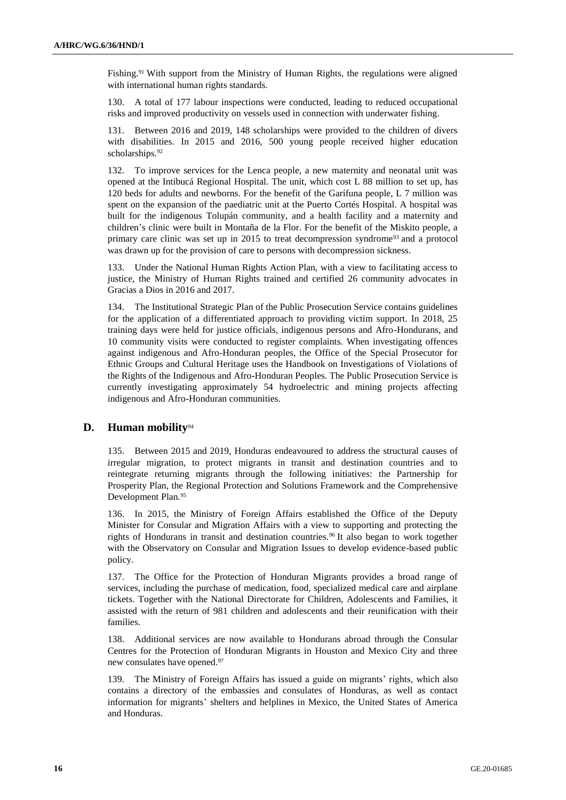Fishing.<sup>91</sup> With support from the Ministry of Human Rights, the regulations were aligned with international human rights standards.

130. A total of 177 labour inspections were conducted, leading to reduced occupational risks and improved productivity on vessels used in connection with underwater fishing.

131. Between 2016 and 2019, 148 scholarships were provided to the children of divers with disabilities. In 2015 and 2016, 500 young people received higher education scholarships.<sup>92</sup>

132. To improve services for the Lenca people, a new maternity and neonatal unit was opened at the Intibucá Regional Hospital. The unit, which cost L 88 million to set up, has 120 beds for adults and newborns. For the benefit of the Garífuna people, L 7 million was spent on the expansion of the paediatric unit at the Puerto Cortés Hospital. A hospital was built for the indigenous Tolupán community, and a health facility and a maternity and children's clinic were built in Montaña de la Flor. For the benefit of the Miskito people, a primary care clinic was set up in 2015 to treat decompression syndrome<sup>93</sup> and a protocol was drawn up for the provision of care to persons with decompression sickness.

133. Under the National Human Rights Action Plan, with a view to facilitating access to justice, the Ministry of Human Rights trained and certified 26 community advocates in Gracias a Dios in 2016 and 2017.

134. The Institutional Strategic Plan of the Public Prosecution Service contains guidelines for the application of a differentiated approach to providing victim support. In 2018, 25 training days were held for justice officials, indigenous persons and Afro-Hondurans, and 10 community visits were conducted to register complaints. When investigating offences against indigenous and Afro-Honduran peoples, the Office of the Special Prosecutor for Ethnic Groups and Cultural Heritage uses the Handbook on Investigations of Violations of the Rights of the Indigenous and Afro-Honduran Peoples. The Public Prosecution Service is currently investigating approximately 54 hydroelectric and mining projects affecting indigenous and Afro-Honduran communities.

### **D. Human mobility**<sup>94</sup>

135. Between 2015 and 2019, Honduras endeavoured to address the structural causes of irregular migration, to protect migrants in transit and destination countries and to reintegrate returning migrants through the following initiatives: the Partnership for Prosperity Plan, the Regional Protection and Solutions Framework and the Comprehensive Development Plan.<sup>95</sup>

136. In 2015, the Ministry of Foreign Affairs established the Office of the Deputy Minister for Consular and Migration Affairs with a view to supporting and protecting the rights of Hondurans in transit and destination countries.<sup>96</sup> It also began to work together with the Observatory on Consular and Migration Issues to develop evidence-based public policy.

137. The Office for the Protection of Honduran Migrants provides a broad range of services, including the purchase of medication, food, specialized medical care and airplane tickets. Together with the National Directorate for Children, Adolescents and Families, it assisted with the return of 981 children and adolescents and their reunification with their families.

138. Additional services are now available to Hondurans abroad through the Consular Centres for the Protection of Honduran Migrants in Houston and Mexico City and three new consulates have opened.<sup>97</sup>

139. The Ministry of Foreign Affairs has issued a guide on migrants' rights, which also contains a directory of the embassies and consulates of Honduras, as well as contact information for migrants' shelters and helplines in Mexico, the United States of America and Honduras.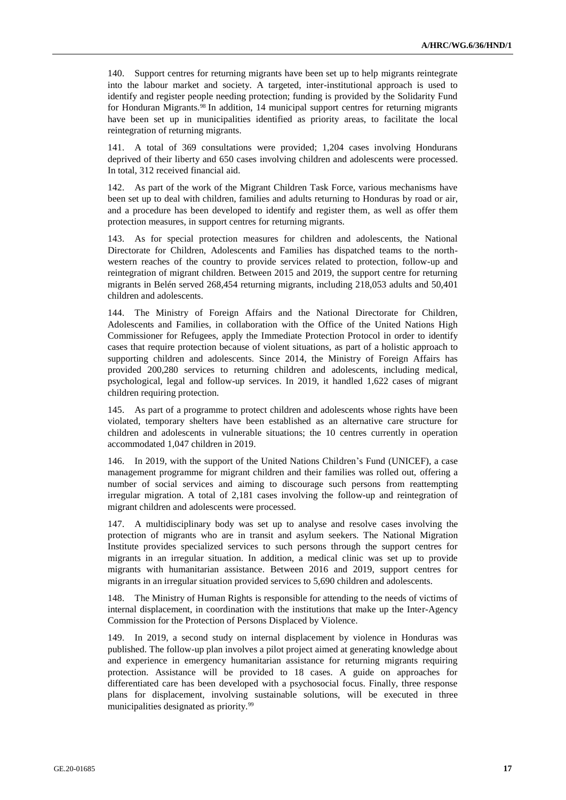140. Support centres for returning migrants have been set up to help migrants reintegrate into the labour market and society. A targeted, inter-institutional approach is used to identify and register people needing protection; funding is provided by the Solidarity Fund for Honduran Migrants.<sup>98</sup> In addition, 14 municipal support centres for returning migrants have been set up in municipalities identified as priority areas, to facilitate the local reintegration of returning migrants.

141. A total of 369 consultations were provided; 1,204 cases involving Hondurans deprived of their liberty and 650 cases involving children and adolescents were processed. In total, 312 received financial aid.

142. As part of the work of the Migrant Children Task Force, various mechanisms have been set up to deal with children, families and adults returning to Honduras by road or air, and a procedure has been developed to identify and register them, as well as offer them protection measures, in support centres for returning migrants.

143. As for special protection measures for children and adolescents, the National Directorate for Children, Adolescents and Families has dispatched teams to the northwestern reaches of the country to provide services related to protection, follow-up and reintegration of migrant children. Between 2015 and 2019, the support centre for returning migrants in Belén served 268,454 returning migrants, including 218,053 adults and 50,401 children and adolescents.

144. The Ministry of Foreign Affairs and the National Directorate for Children, Adolescents and Families, in collaboration with the Office of the United Nations High Commissioner for Refugees, apply the Immediate Protection Protocol in order to identify cases that require protection because of violent situations, as part of a holistic approach to supporting children and adolescents. Since 2014, the Ministry of Foreign Affairs has provided 200,280 services to returning children and adolescents, including medical, psychological, legal and follow-up services. In 2019, it handled 1,622 cases of migrant children requiring protection.

145. As part of a programme to protect children and adolescents whose rights have been violated, temporary shelters have been established as an alternative care structure for children and adolescents in vulnerable situations; the 10 centres currently in operation accommodated 1,047 children in 2019.

146. In 2019, with the support of the United Nations Children's Fund (UNICEF), a case management programme for migrant children and their families was rolled out, offering a number of social services and aiming to discourage such persons from reattempting irregular migration. A total of 2,181 cases involving the follow-up and reintegration of migrant children and adolescents were processed.

147. A multidisciplinary body was set up to analyse and resolve cases involving the protection of migrants who are in transit and asylum seekers. The National Migration Institute provides specialized services to such persons through the support centres for migrants in an irregular situation. In addition, a medical clinic was set up to provide migrants with humanitarian assistance. Between 2016 and 2019, support centres for migrants in an irregular situation provided services to 5,690 children and adolescents.

148. The Ministry of Human Rights is responsible for attending to the needs of victims of internal displacement, in coordination with the institutions that make up the Inter-Agency Commission for the Protection of Persons Displaced by Violence.

149. In 2019, a second study on internal displacement by violence in Honduras was published. The follow-up plan involves a pilot project aimed at generating knowledge about and experience in emergency humanitarian assistance for returning migrants requiring protection. Assistance will be provided to 18 cases. A guide on approaches for differentiated care has been developed with a psychosocial focus. Finally, three response plans for displacement, involving sustainable solutions, will be executed in three municipalities designated as priority.<sup>99</sup>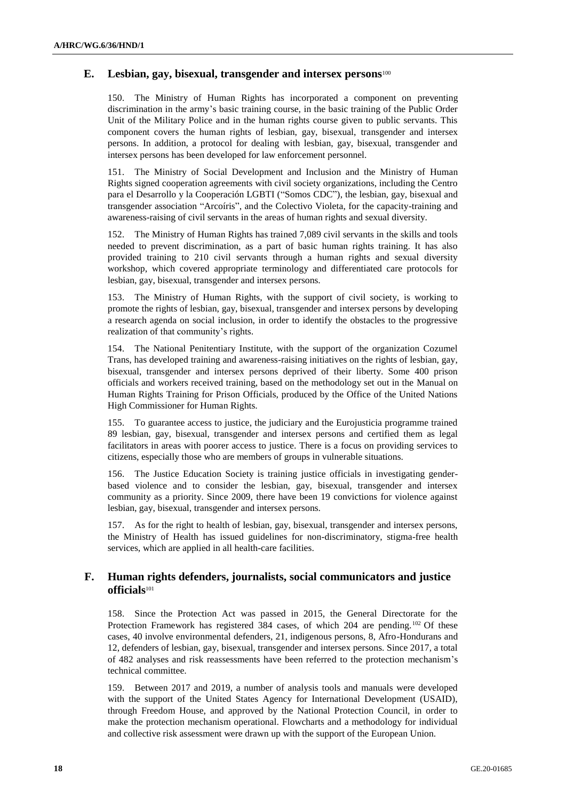### **E. Lesbian, gay, bisexual, transgender and intersex persons**<sup>100</sup>

150. The Ministry of Human Rights has incorporated a component on preventing discrimination in the army's basic training course, in the basic training of the Public Order Unit of the Military Police and in the human rights course given to public servants. This component covers the human rights of lesbian, gay, bisexual, transgender and intersex persons. In addition, a protocol for dealing with lesbian, gay, bisexual, transgender and intersex persons has been developed for law enforcement personnel.

151. The Ministry of Social Development and Inclusion and the Ministry of Human Rights signed cooperation agreements with civil society organizations, including the Centro para el Desarrollo y la Cooperación LGBTI ("Somos CDC"), the lesbian, gay, bisexual and transgender association "Arcoíris", and the Colectivo Violeta, for the capacity-training and awareness-raising of civil servants in the areas of human rights and sexual diversity.

152. The Ministry of Human Rights has trained 7,089 civil servants in the skills and tools needed to prevent discrimination, as a part of basic human rights training. It has also provided training to 210 civil servants through a human rights and sexual diversity workshop, which covered appropriate terminology and differentiated care protocols for lesbian, gay, bisexual, transgender and intersex persons.

153. The Ministry of Human Rights, with the support of civil society, is working to promote the rights of lesbian, gay, bisexual, transgender and intersex persons by developing a research agenda on social inclusion, in order to identify the obstacles to the progressive realization of that community's rights.

154. The National Penitentiary Institute, with the support of the organization Cozumel Trans, has developed training and awareness-raising initiatives on the rights of lesbian, gay, bisexual, transgender and intersex persons deprived of their liberty. Some 400 prison officials and workers received training, based on the methodology set out in the Manual on Human Rights Training for Prison Officials, produced by the Office of the United Nations High Commissioner for Human Rights.

155. To guarantee access to justice, the judiciary and the Eurojusticia programme trained 89 lesbian, gay, bisexual, transgender and intersex persons and certified them as legal facilitators in areas with poorer access to justice. There is a focus on providing services to citizens, especially those who are members of groups in vulnerable situations.

156. The Justice Education Society is training justice officials in investigating genderbased violence and to consider the lesbian, gay, bisexual, transgender and intersex community as a priority. Since 2009, there have been 19 convictions for violence against lesbian, gay, bisexual, transgender and intersex persons.

157. As for the right to health of lesbian, gay, bisexual, transgender and intersex persons, the Ministry of Health has issued guidelines for non-discriminatory, stigma-free health services, which are applied in all health-care facilities.

### **F. Human rights defenders, journalists, social communicators and justice officials**<sup>101</sup>

158. Since the Protection Act was passed in 2015, the General Directorate for the Protection Framework has registered 384 cases, of which 204 are pending.<sup>102</sup> Of these cases, 40 involve environmental defenders, 21, indigenous persons, 8, Afro-Hondurans and 12, defenders of lesbian, gay, bisexual, transgender and intersex persons. Since 2017, a total of 482 analyses and risk reassessments have been referred to the protection mechanism's technical committee.

159. Between 2017 and 2019, a number of analysis tools and manuals were developed with the support of the United States Agency for International Development (USAID), through Freedom House, and approved by the National Protection Council, in order to make the protection mechanism operational. Flowcharts and a methodology for individual and collective risk assessment were drawn up with the support of the European Union.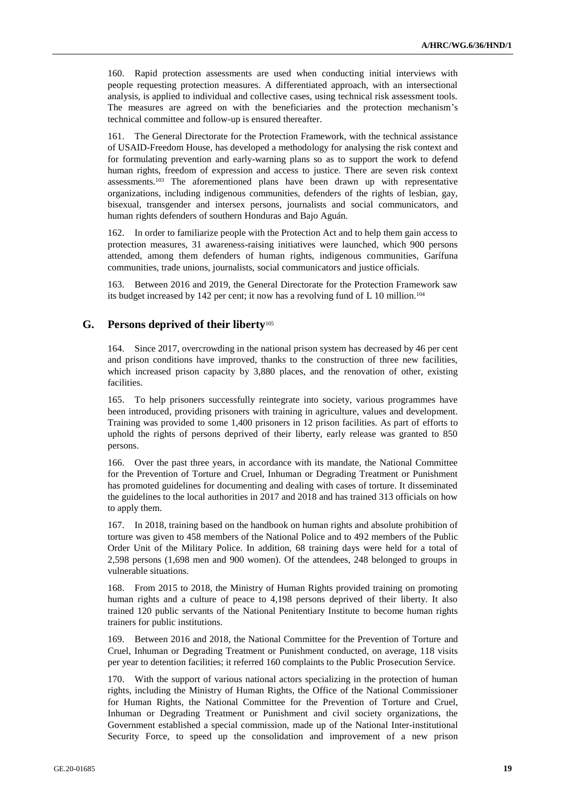160. Rapid protection assessments are used when conducting initial interviews with people requesting protection measures. A differentiated approach, with an intersectional analysis, is applied to individual and collective cases, using technical risk assessment tools. The measures are agreed on with the beneficiaries and the protection mechanism's technical committee and follow-up is ensured thereafter.

161. The General Directorate for the Protection Framework, with the technical assistance of USAID-Freedom House, has developed a methodology for analysing the risk context and for formulating prevention and early-warning plans so as to support the work to defend human rights, freedom of expression and access to justice. There are seven risk context assessments.<sup>103</sup> The aforementioned plans have been drawn up with representative organizations, including indigenous communities, defenders of the rights of lesbian, gay, bisexual, transgender and intersex persons, journalists and social communicators, and human rights defenders of southern Honduras and Bajo Aguán.

162. In order to familiarize people with the Protection Act and to help them gain access to protection measures, 31 awareness-raising initiatives were launched, which 900 persons attended, among them defenders of human rights, indigenous communities, Garífuna communities, trade unions, journalists, social communicators and justice officials.

163. Between 2016 and 2019, the General Directorate for the Protection Framework saw its budget increased by 142 per cent; it now has a revolving fund of L 10 million.<sup>104</sup>

#### **G. Persons deprived of their liberty**<sup>105</sup>

164. Since 2017, overcrowding in the national prison system has decreased by 46 per cent and prison conditions have improved, thanks to the construction of three new facilities, which increased prison capacity by 3,880 places, and the renovation of other, existing facilities.

165. To help prisoners successfully reintegrate into society, various programmes have been introduced, providing prisoners with training in agriculture, values and development. Training was provided to some 1,400 prisoners in 12 prison facilities. As part of efforts to uphold the rights of persons deprived of their liberty, early release was granted to 850 persons.

166. Over the past three years, in accordance with its mandate, the National Committee for the Prevention of Torture and Cruel, Inhuman or Degrading Treatment or Punishment has promoted guidelines for documenting and dealing with cases of torture. It disseminated the guidelines to the local authorities in 2017 and 2018 and has trained 313 officials on how to apply them.

167. In 2018, training based on the handbook on human rights and absolute prohibition of torture was given to 458 members of the National Police and to 492 members of the Public Order Unit of the Military Police. In addition, 68 training days were held for a total of 2,598 persons (1,698 men and 900 women). Of the attendees, 248 belonged to groups in vulnerable situations.

168. From 2015 to 2018, the Ministry of Human Rights provided training on promoting human rights and a culture of peace to 4,198 persons deprived of their liberty. It also trained 120 public servants of the National Penitentiary Institute to become human rights trainers for public institutions.

169. Between 2016 and 2018, the National Committee for the Prevention of Torture and Cruel, Inhuman or Degrading Treatment or Punishment conducted, on average, 118 visits per year to detention facilities; it referred 160 complaints to the Public Prosecution Service.

170. With the support of various national actors specializing in the protection of human rights, including the Ministry of Human Rights, the Office of the National Commissioner for Human Rights, the National Committee for the Prevention of Torture and Cruel, Inhuman or Degrading Treatment or Punishment and civil society organizations, the Government established a special commission, made up of the National Inter-institutional Security Force, to speed up the consolidation and improvement of a new prison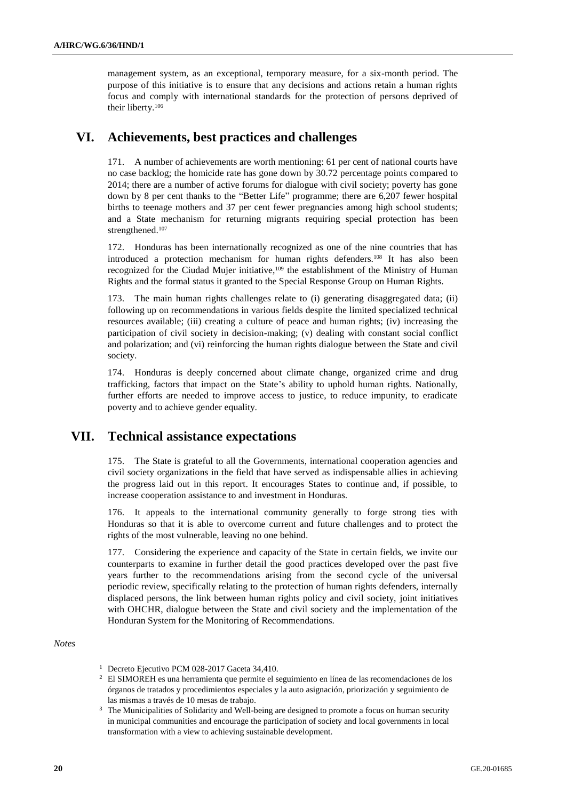management system, as an exceptional, temporary measure, for a six-month period. The purpose of this initiative is to ensure that any decisions and actions retain a human rights focus and comply with international standards for the protection of persons deprived of their liberty.<sup>106</sup>

# **VI. Achievements, best practices and challenges**

171. A number of achievements are worth mentioning: 61 per cent of national courts have no case backlog; the homicide rate has gone down by 30.72 percentage points compared to 2014; there are a number of active forums for dialogue with civil society; poverty has gone down by 8 per cent thanks to the "Better Life" programme; there are 6,207 fewer hospital births to teenage mothers and 37 per cent fewer pregnancies among high school students; and a State mechanism for returning migrants requiring special protection has been strengthened. 107

172. Honduras has been internationally recognized as one of the nine countries that has introduced a protection mechanism for human rights defenders.<sup>108</sup> It has also been recognized for the Ciudad Mujer initiative,<sup>109</sup> the establishment of the Ministry of Human Rights and the formal status it granted to the Special Response Group on Human Rights.

173. The main human rights challenges relate to (i) generating disaggregated data; (ii) following up on recommendations in various fields despite the limited specialized technical resources available; (iii) creating a culture of peace and human rights; (iv) increasing the participation of civil society in decision-making; (v) dealing with constant social conflict and polarization; and (vi) reinforcing the human rights dialogue between the State and civil society.

174. Honduras is deeply concerned about climate change, organized crime and drug trafficking, factors that impact on the State's ability to uphold human rights. Nationally, further efforts are needed to improve access to justice, to reduce impunity, to eradicate poverty and to achieve gender equality.

# **VII. Technical assistance expectations**

175. The State is grateful to all the Governments, international cooperation agencies and civil society organizations in the field that have served as indispensable allies in achieving the progress laid out in this report. It encourages States to continue and, if possible, to increase cooperation assistance to and investment in Honduras.

176. It appeals to the international community generally to forge strong ties with Honduras so that it is able to overcome current and future challenges and to protect the rights of the most vulnerable, leaving no one behind.

177. Considering the experience and capacity of the State in certain fields, we invite our counterparts to examine in further detail the good practices developed over the past five years further to the recommendations arising from the second cycle of the universal periodic review, specifically relating to the protection of human rights defenders, internally displaced persons, the link between human rights policy and civil society, joint initiatives with OHCHR, dialogue between the State and civil society and the implementation of the Honduran System for the Monitoring of Recommendations.

*Notes*

<sup>&</sup>lt;sup>1</sup> Decreto Ejecutivo PCM 028-2017 Gaceta 34,410.

<sup>&</sup>lt;sup>2</sup> El SIMOREH es una herramienta que permite el seguimiento en línea de las recomendaciones de los órganos de tratados y procedimientos especiales y la auto asignación, priorización y seguimiento de las mismas a través de 10 mesas de trabajo.

<sup>&</sup>lt;sup>3</sup> The Municipalities of Solidarity and Well-being are designed to promote a focus on human security in municipal communities and encourage the participation of society and local governments in local transformation with a view to achieving sustainable development.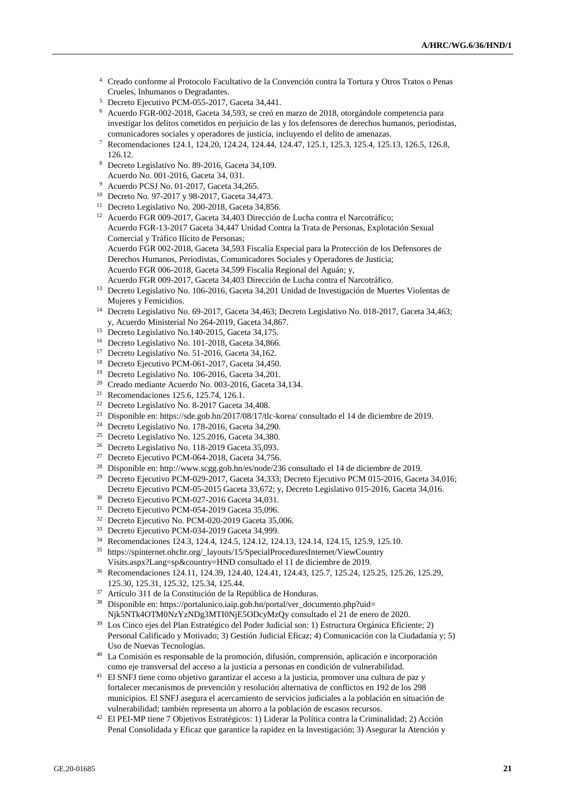- <sup>4</sup> Creado conforme al Protocolo Facultativo de la Convención contra la Tortura y Otros Tratos o Penas Crueles, Inhumanos o Degradantes.
- <sup>5</sup> Decreto Ejecutivo PCM-055-2017, Gaceta 34,441.
- <sup>6</sup> Acuerdo FGR-002-2018, Gaceta 34,593, se creó en marzo de 2018, otorgándole competencia para investigar los delitos cometidos en perjuicio de las y los defensores de derechos humanos, periodistas, comunicadores sociales y operadores de justicia, incluyendo el delito de amenazas.
- <sup>7</sup> Recomendaciones 124.1, 124.20, 124.24, 124.44, 124.47, 125.1, 125.3, 125.4, 125.13, 126.5, 126.8, 126.12.
- <sup>8</sup> Decreto Legislativo No. 89-2016, Gaceta 34,109. Acuerdo No. 001-2016, Gaceta 34, 031.
- <sup>9</sup> Acuerdo PCSJ No. 01-2017, Gaceta 34,265.
- <sup>10</sup> Decreto No. 97-2017 y 98-2017, Gaceta 34,473.
- <sup>11</sup> Decreto Legislativo No. 200-2018, Gaceta 34,856.
- <sup>12</sup> Acuerdo FGR 009-2017, Gaceta 34,403 Dirección de Lucha contra el Narcotráfico; Acuerdo FGR-13-2017 Gaceta 34,447 Unidad Contra la Trata de Personas, Explotación Sexual Comercial y Tráfico Ilícito de Personas; Acuerdo FGR 002-2018, Gaceta 34,593 Fiscalía Especial para la Protección de los Defensores de Derechos Humanos, Periodistas, Comunicadores Sociales y Operadores de Justicia; Acuerdo FGR 006-2018, Gaceta 34,599 Fiscalía Regional del Aguán; y, Acuerdo FGR 009-2017, Gaceta 34,403 Dirección de Lucha contra el Narcotráfico.
- <sup>13</sup> Decreto Legislativo No. 106-2016, Gaceta 34,201 Unidad de Investigación de Muertes Violentas de Mujeres y Femicidios.
- <sup>14</sup> Decreto Legislativo No. 69-2017, Gaceta 34,463; Decreto Legislativo No. 018-2017, Gaceta 34,463; y, Acuerdo Ministerial No 264-2019, Gaceta 34,867.
- <sup>15</sup> Decreto Legislativo No.140-2015, Gaceta 34,175.
- <sup>16</sup> Decreto Legislativo No. 101-2018, Gaceta 34,866.
- <sup>17</sup> Decreto Legislativo No. 51-2016, Gaceta 34,162.
- <sup>18</sup> Decreto Ejecutivo PCM-061-2017, Gaceta 34,450.
- <sup>19</sup> Decreto Legislativo No. 106-2016, Gaceta 34,201.
- <sup>20</sup> Creado mediante Acuerdo No. 003-2016, Gaceta 34,134.
- <sup>21</sup> Recomendaciones 125.6, 125.74, 126.1.
- <sup>22</sup> Decreto Legislativo No. 8-2017 Gaceta 34,408.
- <sup>23</sup> Disponible en: https://sde.gob.hn/2017/08/17/tlc-korea/ consultado el 14 de diciembre de 2019.
- <sup>24</sup> Decreto Legislativo No. 178-2016, Gaceta 34,290.
- <sup>25</sup> Decreto Legislativo No. 125.2016, Gaceta 34,380.
- <sup>26</sup> Decreto Legislativo No. 118-2019 Gaceta 35,093.
- <sup>27</sup> Decreto Ejecutivo PCM-064-2018, Gaceta 34,756.
- <sup>28</sup> Disponible en: http://www.scgg.gob.hn/es/node/236 consultado el 14 de diciembre de 2019.
- <sup>29</sup> Decreto Ejecutivo PCM-029-2017, Gaceta 34,333; Decreto Ejecutivo PCM 015-2016, Gaceta 34,016; Decreto Ejecutivo PCM-05-2015 Gaceta 33,672; y, Decreto Legislativo 015-2016, Gaceta 34,016.
- <sup>30</sup> Decreto Ejecutivo PCM-027-2016 Gaceta 34,031.
- <sup>31</sup> Decreto Ejecutivo PCM-054-2019 Gaceta 35,096.
- <sup>32</sup> Decreto Ejecutivo No. PCM-020-2019 Gaceta 35,006.
- <sup>33</sup> Decreto Ejecutivo PCM-034-2019 Gaceta 34,999.
- <sup>34</sup> Recomendaciones 124.3, 124.4, 124.5, 124.12, 124.13, 124.14, 124.15, 125.9, 125.10.
- <sup>35</sup> https://spinternet.ohchr.org/\_layouts/15/SpecialProceduresInternet/ViewCountry Visits.aspx?Lang=sp&country=HND consultado el 11 de diciembre de 2019.
- <sup>36</sup> Recomendaciones 124.11, 124.39, 124.40, 124.41, 124.43, 125.7, 125.24, 125.25, 125.26, 125.29, 125.30, 125.31, 125.32, 125.34, 125.44.
- <sup>37</sup> Artículo 311 de la Constitución de la República de Honduras.
- <sup>38</sup> Disponible en: https://portalunico.iaip.gob.hn/portal/ver\_documento.php?uid= Njk5NTk4OTM0NzYzNDg3MTI0NjE5ODcyMzQy consultado el 21 de enero de 2020.
- <sup>39</sup> Los Cinco ejes del Plan Estratégico del Poder Judicial son: 1) Estructura Orgánica Eficiente; 2) Personal Calificado y Motivado; 3) Gestión Judicial Eficaz; 4) Comunicación con la Ciudadanía y; 5) Uso de Nuevas Tecnologías.
- <sup>40</sup> La Comisión es responsable de la promoción, difusión, comprensión, aplicación e incorporación como eje transversal del acceso a la justicia a personas en condición de vulnerabilidad.
- <sup>41</sup> El SNFJ tiene como objetivo garantizar el acceso a la justicia, promover una cultura de paz y fortalecer mecanismos de prevención y resolución alternativa de conflictos en 192 de los 298 municipios. El SNFJ asegura el acercamiento de servicios judiciales a la población en situación de vulnerabilidad; también representa un ahorro a la población de escasos recursos.
- <sup>42</sup> El PEI-MP tiene 7 Objetivos Estratégicos: 1) Liderar la Política contra la Criminalidad; 2) Acción Penal Consolidada y Eficaz que garantice la rapidez en la Investigación; 3) Asegurar la Atención y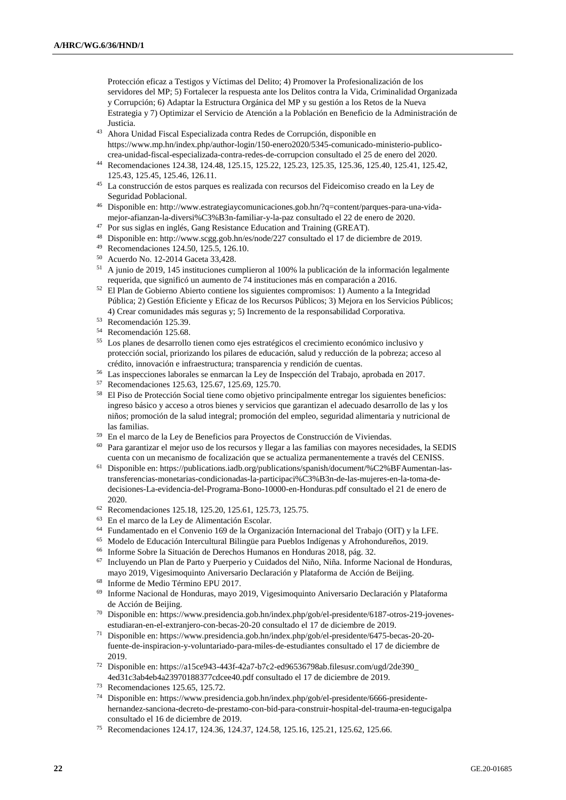Protección eficaz a Testigos y Víctimas del Delito; 4) Promover la Profesionalización de los servidores del MP; 5) Fortalecer la respuesta ante los Delitos contra la Vida, Criminalidad Organizada y Corrupción; 6) Adaptar la Estructura Orgánica del MP y su gestión a los Retos de la Nueva Estrategia y 7) Optimizar el Servicio de Atención a la Población en Beneficio de la Administración de Justicia.

- <sup>43</sup> Ahora Unidad Fiscal Especializada contra Redes de Corrupción, disponible en https://www.mp.hn/index.php/author-login/150-enero2020/5345-comunicado-ministerio-publicocrea-unidad-fiscal-especializada-contra-redes-de-corrupcion consultado el 25 de enero del 2020.
- <sup>44</sup> Recomendaciones 124.38, 124.48, 125.15, 125.22, 125.23, 125.35, 125.36, 125.40, 125.41, 125.42, 125.43, 125.45, 125.46, 126.11.
- <sup>45</sup> La construcción de estos parques es realizada con recursos del Fideicomiso creado en la Ley de Seguridad Poblacional.
- <sup>46</sup> Disponible en: http://www.estrategiaycomunicaciones.gob.hn/?q=content/parques-para-una-vidamejor-afianzan-la-diversi%C3%B3n-familiar-y-la-paz consultado el 22 de enero de 2020.
- <sup>47</sup> Por sus siglas en inglés, Gang Resistance Education and Training (GREAT).
- <sup>48</sup> Disponible en: http://www.scgg.gob.hn/es/node/227 consultado el 17 de diciembre de 2019.
- <sup>49</sup> Recomendaciones 124.50, 125.5, 126.10.
- <sup>50</sup> Acuerdo No. 12-2014 Gaceta 33,428.
- <sup>51</sup> A junio de 2019, 145 instituciones cumplieron al 100% la publicación de la información legalmente requerida, que significó un aumento de 74 instituciones más en comparación a 2016.
- <sup>52</sup> El Plan de Gobierno Abierto contiene los siguientes compromisos: 1) Aumento a la Integridad Pública; 2) Gestión Eficiente y Eficaz de los Recursos Públicos; 3) Mejora en los Servicios Públicos; 4) Crear comunidades más seguras y; 5) Incremento de la responsabilidad Corporativa.
- <sup>53</sup> Recomendación 125.39.
- <sup>54</sup> Recomendación 125.68.
- <sup>55</sup> Los planes de desarrollo tienen como ejes estratégicos el crecimiento económico inclusivo y protección social, priorizando los pilares de educación, salud y reducción de la pobreza; acceso al crédito, innovación e infraestructura; transparencia y rendición de cuentas.
- <sup>56</sup> Las inspecciones laborales se enmarcan la Ley de Inspección del Trabajo, aprobada en 2017.
- <sup>57</sup> Recomendaciones 125.63, 125.67, 125.69, 125.70.
- <sup>58</sup> El Piso de Protección Social tiene como objetivo principalmente entregar los siguientes beneficios: ingreso básico y acceso a otros bienes y servicios que garantizan el adecuado desarrollo de las y los niños; promoción de la salud integral; promoción del empleo, seguridad alimentaria y nutricional de las familias.
- <sup>59</sup> En el marco de la Ley de Beneficios para Proyectos de Construcción de Viviendas.
- <sup>60</sup> Para garantizar el mejor uso de los recursos y llegar a las familias con mayores necesidades, la SEDIS cuenta con un mecanismo de focalización que se actualiza permanentemente a través del CENISS.
- <sup>61</sup> Disponible en: https://publications.iadb.org/publications/spanish/document/%C2%BFAumentan-lastransferencias-monetarias-condicionadas-la-participaci%C3%B3n-de-las-mujeres-en-la-toma-dedecisiones-La-evidencia-del-Programa-Bono-10000-en-Honduras.pdf consultado el 21 de enero de 2020.
- <sup>62</sup> Recomendaciones 125.18, 125.20, 125.61, 125.73, 125.75.
- <sup>63</sup> En el marco de la Ley de Alimentación Escolar.
- <sup>64</sup> Fundamentado en el Convenio 169 de la Organización Internacional del Trabajo (OIT) y la LFE.
- <sup>65</sup> Modelo de Educación Intercultural Bilingüe para Pueblos Indígenas y Afrohondureños, 2019.
- <sup>66</sup> Informe Sobre la Situación de Derechos Humanos en Honduras 2018, pág. 32.
- <sup>67</sup> Incluyendo un Plan de Parto y Puerperio y Cuidados del Niño, Niña. Informe Nacional de Honduras, mayo 2019, Vigesimoquinto Aniversario Declaración y Plataforma de Acción de Beijing.
- <sup>68</sup> Informe de Medio Término EPU 2017.
- <sup>69</sup> Informe Nacional de Honduras, mayo 2019, Vigesimoquinto Aniversario Declaración y Plataforma de Acción de Beijing.
- <sup>70</sup> Disponible en: https://www.presidencia.gob.hn/index.php/gob/el-presidente/6187-otros-219-jovenesestudiaran-en-el-extranjero-con-becas-20-20 consultado el 17 de diciembre de 2019.
- <sup>71</sup> Disponible en: https://www.presidencia.gob.hn/index.php/gob/el-presidente/6475-becas-20-20 fuente-de-inspiracion-y-voluntariado-para-miles-de-estudiantes consultado el 17 de diciembre de 2019.
- <sup>72</sup> Disponible en: https://a15ce943-443f-42a7-b7c2-ed96536798ab.filesusr.com/ugd/2de390\_ 4ed31c3ab4eb4a23970188377cdcee40.pdf consultado el 17 de diciembre de 2019.
- <sup>73</sup> Recomendaciones 125.65, 125.72.
- <sup>74</sup> Disponible en: https://www.presidencia.gob.hn/index.php/gob/el-presidente/6666-presidentehernandez-sanciona-decreto-de-prestamo-con-bid-para-construir-hospital-del-trauma-en-tegucigalpa consultado el 16 de diciembre de 2019.
- <sup>75</sup> Recomendaciones 124.17, 124.36, 124.37, 124.58, 125.16, 125.21, 125.62, 125.66.